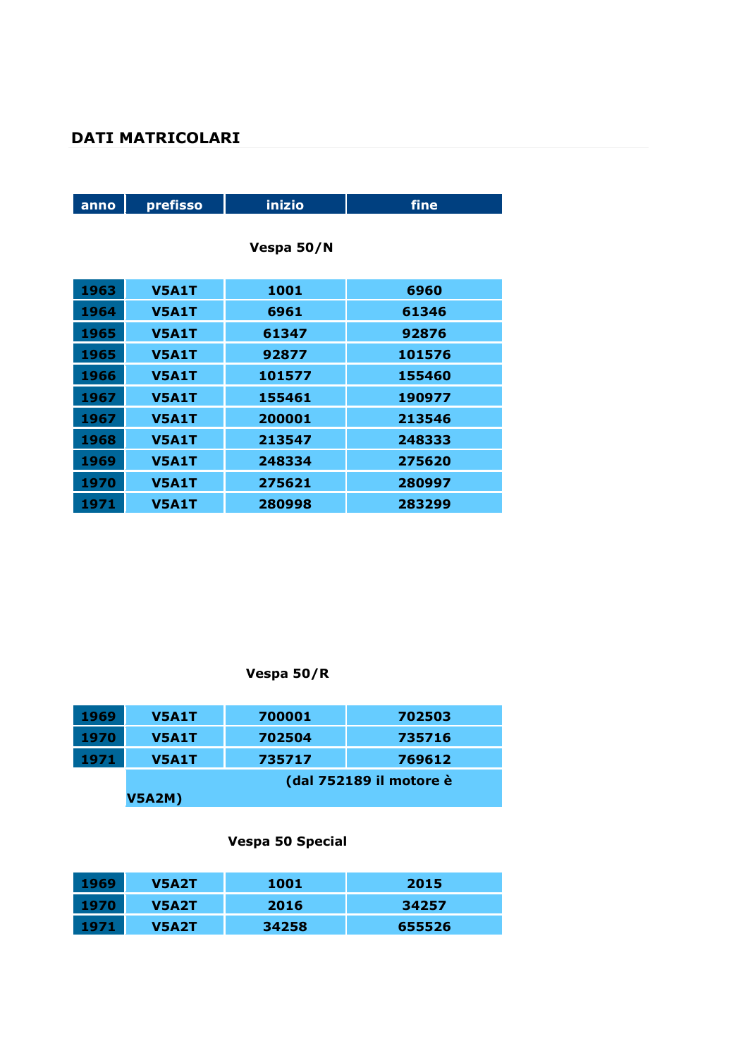# **DATI MATRICOLARI**

| anno | prefisso     | inizio     | fine   |
|------|--------------|------------|--------|
|      |              |            |        |
|      |              | Vespa 50/N |        |
|      |              |            |        |
| 1963 | <b>V5A1T</b> | 1001       | 6960   |
| 1964 | <b>V5A1T</b> | 6961       | 61346  |
| 1965 | <b>V5A1T</b> | 61347      | 92876  |
| 1965 | <b>V5A1T</b> | 92877      | 101576 |
| 1966 | <b>V5A1T</b> | 101577     | 155460 |
| 1967 | <b>V5A1T</b> | 155461     | 190977 |
| 1967 | <b>V5A1T</b> | 200001     | 213546 |
| 1968 | <b>V5A1T</b> | 213547     | 248333 |
| 1969 | <b>V5A1T</b> | 248334     | 275620 |
| 1970 | <b>V5A1T</b> | 275621     | 280997 |
| 1971 | <b>V5A1T</b> | 280998     | 283299 |

# **Vespa 50/R**

| 1969 | <b>V5A1T</b>  | 700001 | 702503                  |
|------|---------------|--------|-------------------------|
| 1970 | <b>V5A1T</b>  | 702504 | 735716                  |
| 1971 | <b>V5A1T</b>  | 735717 | 769612                  |
|      |               |        | (dal 752189 il motore è |
|      | <b>V5A2M)</b> |        |                         |

# **Vespa 50 Special**

| 1969 | V5A2T | 1001  | 2015   |
|------|-------|-------|--------|
| 1970 | V5A2T | 2016  | 34257  |
| 1971 | V5A2T | 34258 | 655526 |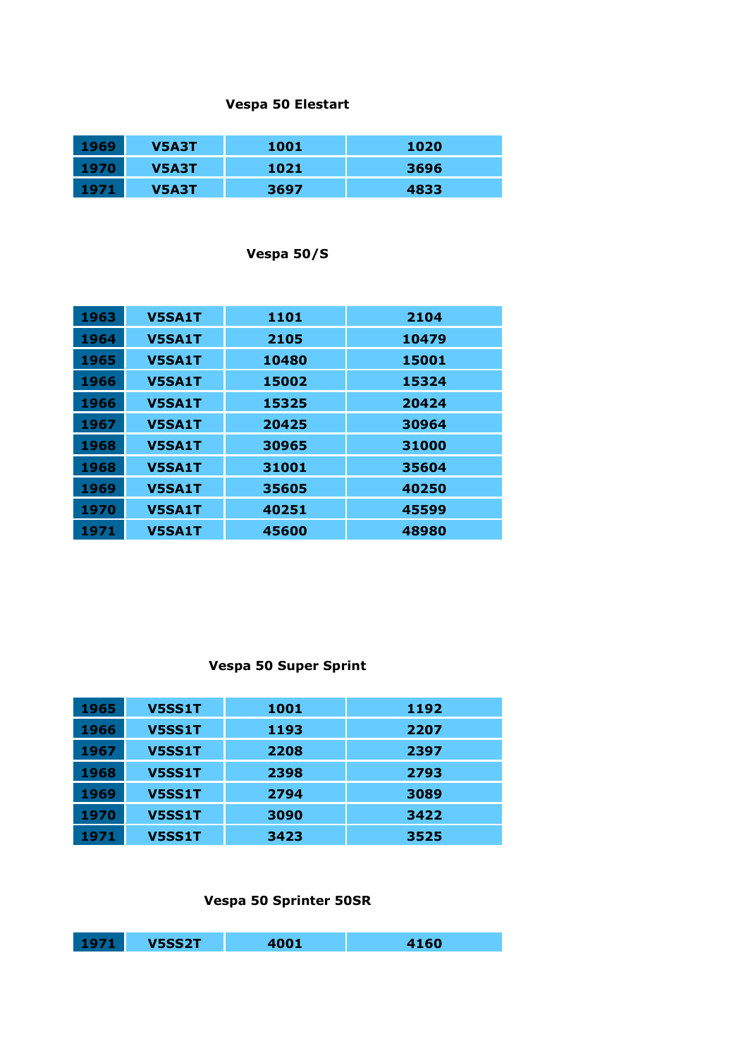#### **Vespa 50 Elestart**

| 1969 | V5A3T | 1001 | 1020 |
|------|-------|------|------|
| 1970 | V5A3T | 1021 | 3696 |
| 1971 | V5A3T | 3697 | 4833 |

### **Vespa 50/S**

| 1963 | <b>V5SA1T</b> | 1101  | 2104  |
|------|---------------|-------|-------|
| 1964 | <b>V5SA1T</b> | 2105  | 10479 |
| 1965 | <b>V5SA1T</b> | 10480 | 15001 |
| 1966 | <b>V5SA1T</b> | 15002 | 15324 |
| 1966 | <b>V5SA1T</b> | 15325 | 20424 |
| 1967 | <b>V5SA1T</b> | 20425 | 30964 |
| 1968 | <b>V5SA1T</b> | 30965 | 31000 |
| 1968 | <b>V5SA1T</b> | 31001 | 35604 |
| 1969 | <b>V5SA1T</b> | 35605 | 40250 |
| 1970 | <b>V5SA1T</b> | 40251 | 45599 |
| 1971 | <b>V5SA1T</b> | 45600 | 48980 |

### **Vespa 50 Super Sprint**

| 1965 | <b>V5SS1T</b> | <b>1001</b> | 1192 |
|------|---------------|-------------|------|
| 1966 | <b>V5SS1T</b> | 1193        | 2207 |
| 1967 | <b>V5SS1T</b> | 2208        | 2397 |
| 1968 | <b>V5SS1T</b> | 2398        | 2793 |
| 1969 | <b>V5SS1T</b> | 2794        | 3089 |
| 1970 | <b>V5SS1T</b> | 3090        | 3422 |
| 1971 | <b>V5SS1T</b> | 3423        | 3525 |

### **Vespa 50 Sprinter 50SR**

| - 1971 | <b>V5SS2T</b> | 4001 | 4160 |
|--------|---------------|------|------|
|        |               |      |      |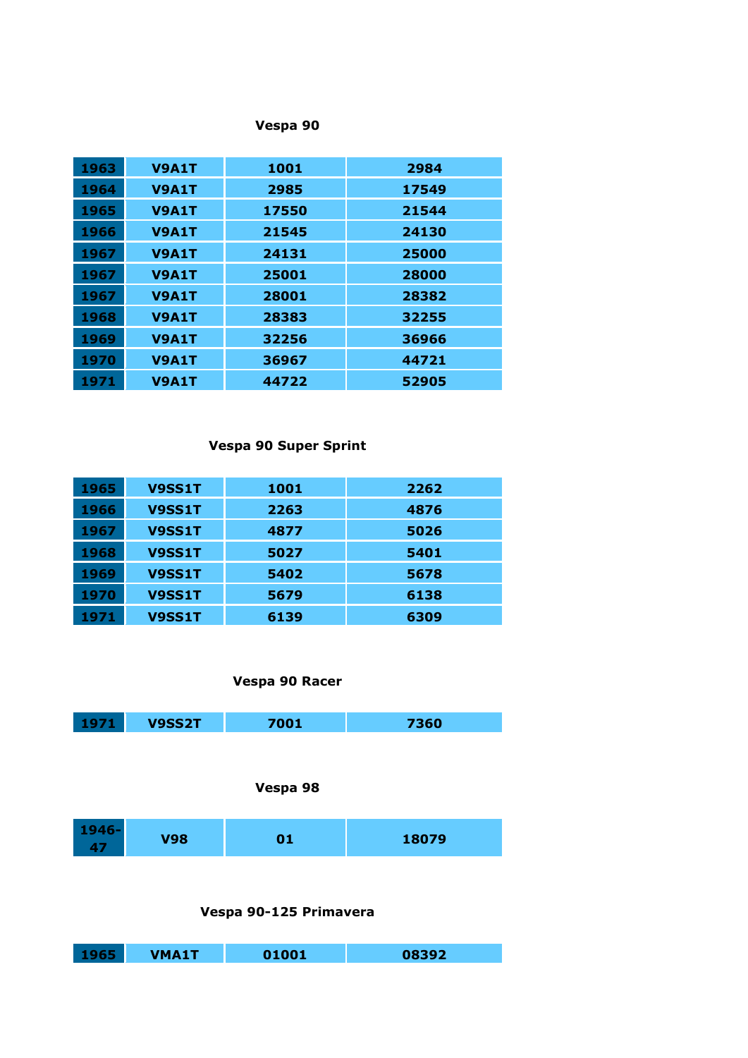### **Vespa 90**

| 1963        | <b>V9A1T</b> | 1001  | 2984  |
|-------------|--------------|-------|-------|
| 1964        | <b>V9A1T</b> | 2985  | 17549 |
| <b>1965</b> | <b>V9A1T</b> | 17550 | 21544 |
| 1966        | <b>V9A1T</b> | 21545 | 24130 |
| 1967        | <b>V9A1T</b> | 24131 | 25000 |
| 1967        | <b>V9A1T</b> | 25001 | 28000 |
| 1967        | <b>V9A1T</b> | 28001 | 28382 |
| 1968        | <b>V9A1T</b> | 28383 | 32255 |
| 1969        | <b>V9A1T</b> | 32256 | 36966 |
| 1970        | <b>V9A1T</b> | 36967 | 44721 |
| 1971        | V9A1T        | 44722 | 52905 |

#### **Vespa 90 Super Sprint**

| 1965 | V9SS1T        | <b>1001</b> | 2262 |
|------|---------------|-------------|------|
| 1966 | <b>V9SS1T</b> | 2263        | 4876 |
| 1967 | V9SS1T        | 4877        | 5026 |
| 1968 | V9SS1T        | 5027        | 5401 |
| 1969 | V9SS1T        | 5402        | 5678 |
| 1970 | V9SS1T        | 5679        | 6138 |
| 1971 | V9SS1T        | 6139        | 6309 |

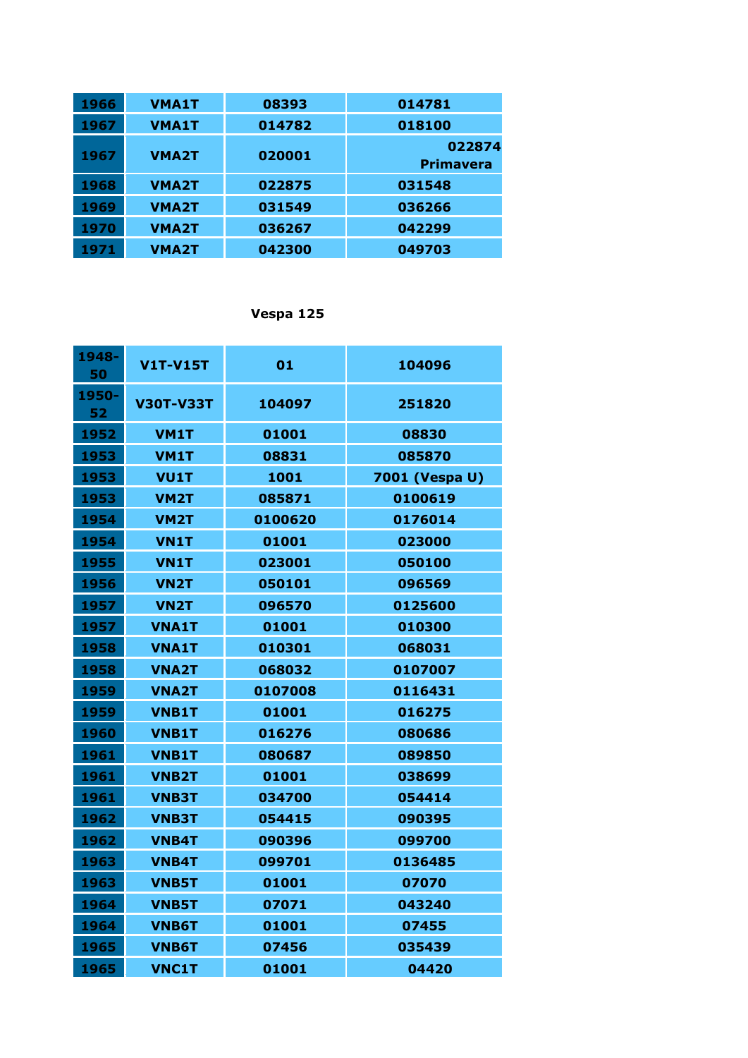| 1966 | <b>VMA1T</b> | 08393  |                  |
|------|--------------|--------|------------------|
|      |              |        | 014781           |
| 1967 | <b>VMA1T</b> | 014782 | 018100           |
| 1967 | <b>VMA2T</b> | 020001 | 022874           |
|      |              |        | <b>Primavera</b> |
| 1968 | <b>VMA2T</b> | 022875 | 031548           |
| 1969 | <b>VMA2T</b> | 031549 | 036266           |
| 1970 | <b>VMA2T</b> | 036267 | 042299           |
| 1971 | <b>VMA2T</b> | 042300 | 049703           |

# **Vespa 125**

| 1948-<br>50 | V1T-V15T          | 01      | 104096         |
|-------------|-------------------|---------|----------------|
| 1950-<br>52 | <b>V30T-V33T</b>  | 104097  | 251820         |
| 1952        | <b>VM1T</b>       | 01001   | 08830          |
| 1953        | <b>VM1T</b>       | 08831   | 085870         |
| 1953        | <b>VU1T</b>       | 1001    | 7001 (Vespa U) |
| 1953        | VM <sub>2</sub> T | 085871  | 0100619        |
| 1954        | <b>VM2T</b>       | 0100620 | 0176014        |
| 1954        | <b>VN1T</b>       | 01001   | 023000         |
| 1955        | <b>VN1T</b>       | 023001  | 050100         |
| 1956        | VN <sub>2</sub> T | 050101  | 096569         |
| 1957        | <b>VN2T</b>       | 096570  | 0125600        |
| 1957        | <b>VNA1T</b>      | 01001   | 010300         |
| 1958        | <b>VNA1T</b>      | 010301  | 068031         |
| 1958        | <b>VNA2T</b>      | 068032  | <b>0107007</b> |
| 1959        | <b>VNA2T</b>      | 0107008 | 0116431        |
| 1959        | <b>VNB1T</b>      | 01001   | 016275         |
| 1960        | <b>VNB1T</b>      | 016276  | 080686         |
| 1961        | <b>VNB1T</b>      | 080687  | 089850         |
| 1961        | <b>VNB2T</b>      | 01001   | 038699         |
| 1961        | <b>VNB3T</b>      | 034700  | 054414         |
| 1962        | <b>VNB3T</b>      | 054415  | 090395         |
| 1962        | <b>VNB4T</b>      | 090396  | 099700         |
| 1963        | <b>VNB4T</b>      | 099701  | 0136485        |
| 1963        | <b>VNB5T</b>      | 01001   | 07070          |
| 1964        | <b>VNB5T</b>      | 07071   | 043240         |
| 1964        | <b>VNB6T</b>      | 01001   | 07455          |
| 1965        | <b>VNB6T</b>      | 07456   | 035439         |
| 1965        | <b>VNC1T</b>      | 01001   | 04420          |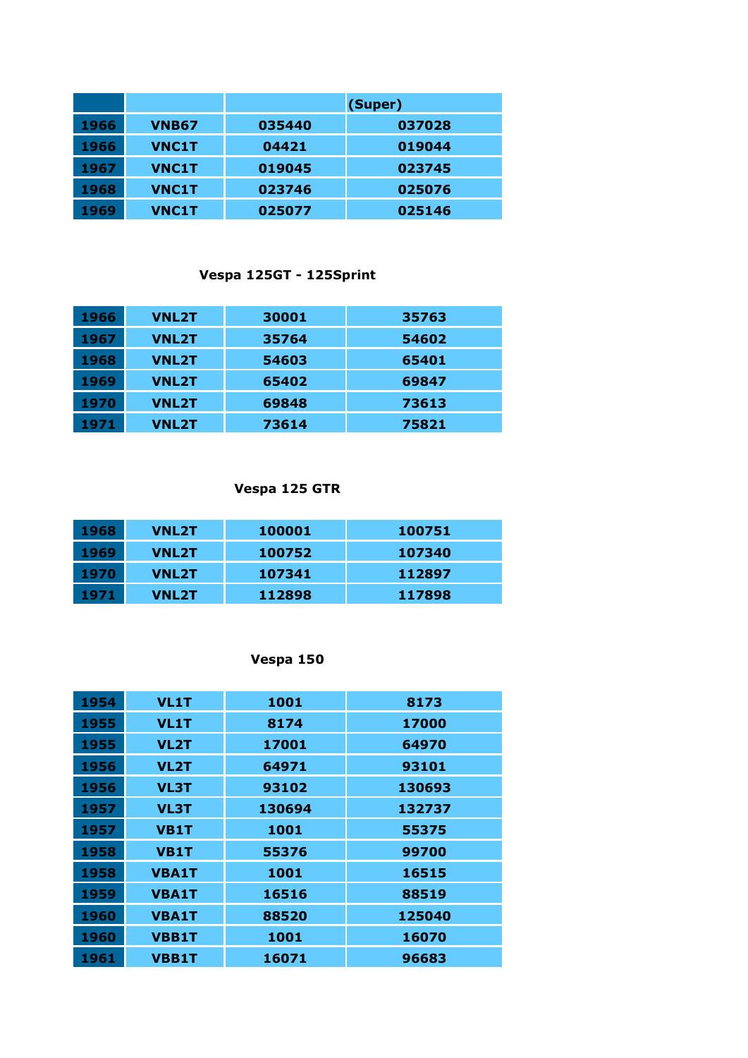|      |              |        | (Super) |
|------|--------------|--------|---------|
| 1966 | <b>VNB67</b> | 035440 | 037028  |
| 1966 | <b>VNC1T</b> | 04421  | 019044  |
| 1967 | <b>VNC1T</b> | 019045 | 023745  |
| 1968 | <b>VNC1T</b> | 023746 | 025076  |
| 1969 | <b>VNC1T</b> | 025077 | 025146  |

# **Vespa 125GT - 125Sprint**

| 1966 | <b>VNL2T</b> | 30001 | 35763 |
|------|--------------|-------|-------|
| 1967 | <b>VNL2T</b> | 35764 | 54602 |
| 1968 | <b>VNL2T</b> | 54603 | 65401 |
| 1969 | <b>VNL2T</b> | 65402 | 69847 |
| 1970 | <b>VNL2T</b> | 69848 | 73613 |
| 1971 | <b>VNL2T</b> | 73614 | 75821 |

#### **Vespa 125 GTR**

| 1968 | <b>VNL2T</b> | 100001 | 100751 |
|------|--------------|--------|--------|
| 1969 | <b>VNL2T</b> | 100752 | 107340 |
| 1970 | <b>VNL2T</b> | 107341 | 112897 |
| 1971 | <b>VNL2T</b> | 112898 | 117898 |

# **Vespa 150**

| 1954 | <b>VL1T</b>  | 1001   | 8173   |
|------|--------------|--------|--------|
| 1955 | <b>VL1T</b>  | 8174   | 17000  |
| 1955 | <b>VL2T</b>  | 17001  | 64970  |
| 1956 | <b>VL2T</b>  | 64971  | 93101  |
| 1956 | <b>VL3T</b>  | 93102  | 130693 |
| 1957 | <b>VL3T</b>  | 130694 | 132737 |
| 1957 | <b>VB1T</b>  | 1001   | 55375  |
| 1958 | <b>VB1T</b>  | 55376  | 99700  |
| 1958 | <b>VBA1T</b> | 1001   | 16515  |
| 1959 | <b>VBA1T</b> | 16516  | 88519  |
| 1960 | <b>VBA1T</b> | 88520  | 125040 |
| 1960 | <b>VBB1T</b> | 1001   | 16070  |
| 1961 | <b>VBB1T</b> | 16071  | 96683  |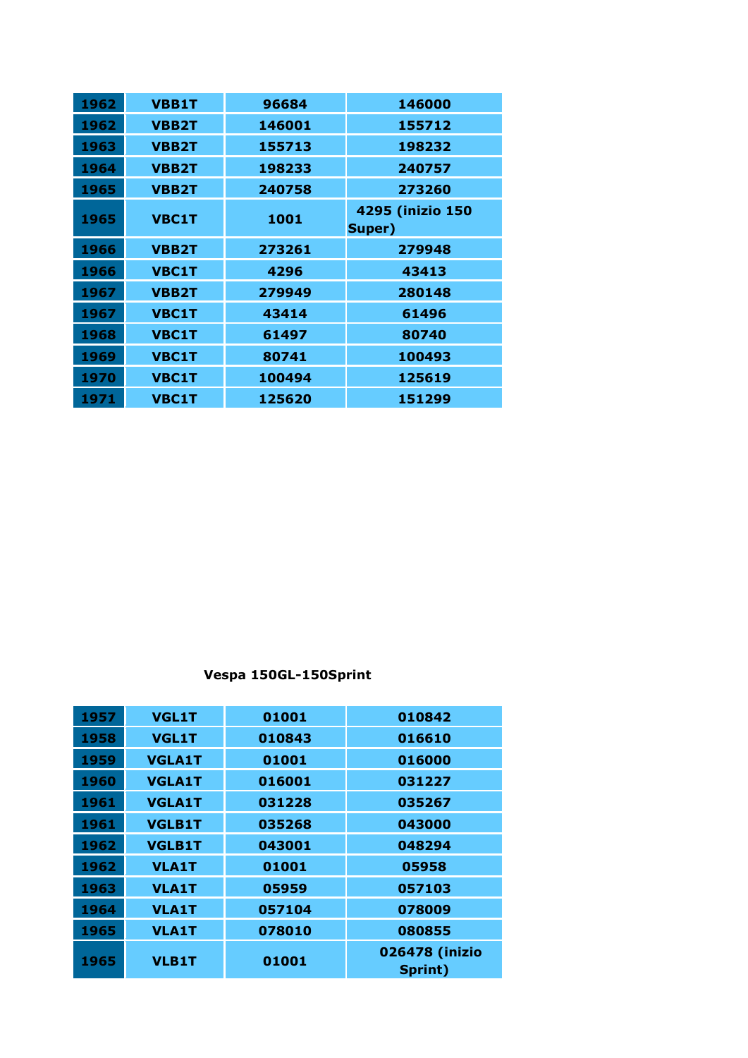| 1962 | <b>VBB1T</b> | 96684  | 146000                     |
|------|--------------|--------|----------------------------|
| 1962 | <b>VBB2T</b> | 146001 | 155712                     |
| 1963 | <b>VBB2T</b> | 155713 | 198232                     |
| 1964 | <b>VBB2T</b> | 198233 | 240757                     |
| 1965 | <b>VBB2T</b> | 240758 | 273260                     |
| 1965 | <b>VBC1T</b> | 1001   | 4295 (inizio 150<br>Super) |
| 1966 | <b>VBB2T</b> | 273261 | 279948                     |
| 1966 | <b>VBC1T</b> | 4296   | 43413                      |
| 1967 | <b>VBB2T</b> | 279949 | 280148                     |
| 1967 | <b>VBC1T</b> | 43414  | 61496                      |
| 1968 | <b>VBC1T</b> | 61497  | 80740                      |
| 1969 | <b>VBC1T</b> | 80741  | 100493                     |
| 1970 | <b>VBC1T</b> | 100494 | 125619                     |
| 1971 | <b>VBC1T</b> | 125620 | 151299                     |

**Vespa 150GL-150Sprint**

| 1957 | <b>VGL1T</b>  | 01001  | 010842                    |
|------|---------------|--------|---------------------------|
| 1958 | <b>VGL1T</b>  | 010843 | 016610                    |
| 1959 | <b>VGLA1T</b> | 01001  | 016000                    |
| 1960 | <b>VGLA1T</b> | 016001 | 031227                    |
| 1961 | <b>VGLA1T</b> | 031228 | 035267                    |
| 1961 | <b>VGLB1T</b> | 035268 | 043000                    |
| 1962 | <b>VGLB1T</b> | 043001 | 048294                    |
| 1962 | <b>VLA1T</b>  | 01001  | 05958                     |
| 1963 | <b>VLA1T</b>  | 05959  | 057103                    |
| 1964 | <b>VLA1T</b>  | 057104 | 078009                    |
| 1965 | <b>VLA1T</b>  | 078010 | 080855                    |
| 1965 | <b>VLB1T</b>  | 01001  | 026478 (inizio<br>Sprint) |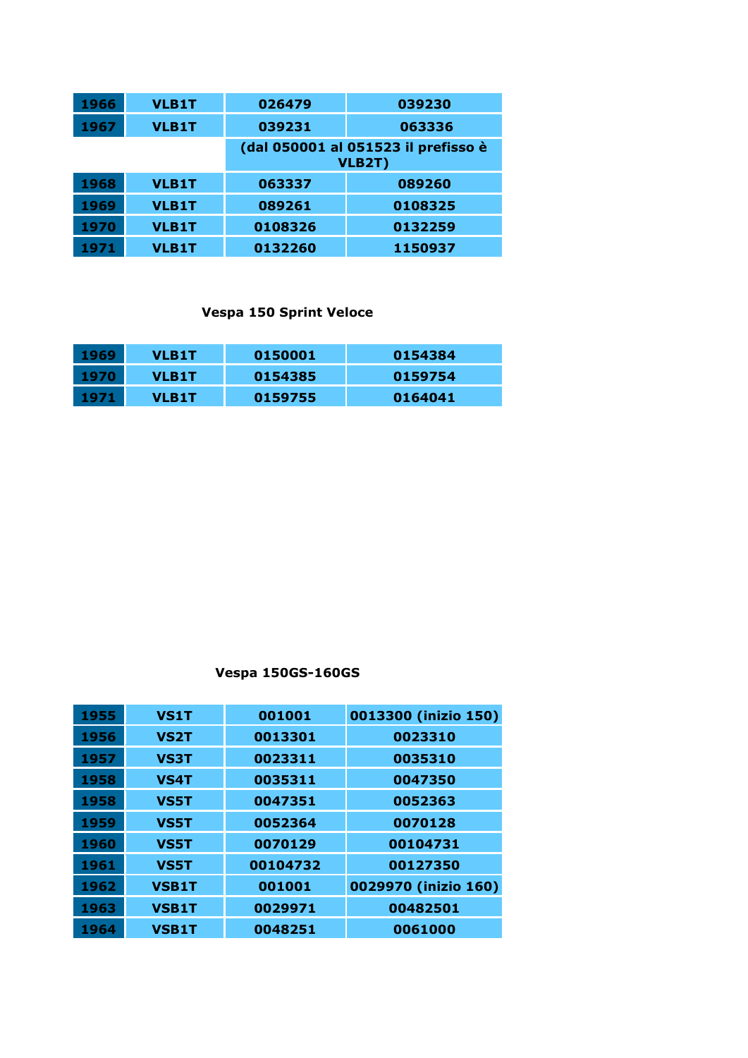| 1966 | <b>VLB1T</b> | 026479  | 039230                                        |
|------|--------------|---------|-----------------------------------------------|
| 1967 | <b>VLB1T</b> | 039231  | 063336                                        |
|      |              |         | (dal 050001 al 051523 il prefisso è<br>VLB2T) |
| 1968 | <b>VLB1T</b> | 063337  | 089260                                        |
| 1969 | <b>VLB1T</b> | 089261  | 0108325                                       |
| 1970 | <b>VLB1T</b> | 0108326 | 0132259                                       |
| 1971 | <b>VLB1T</b> | 0132260 | 1150937                                       |

### **Vespa 150 Sprint Veloce**

| 1969 | <b>VLB1T</b> | 0150001 | 0154384 |
|------|--------------|---------|---------|
| 1970 | <b>VLB1T</b> | 0154385 | 0159754 |
| 1971 | <b>VLB1T</b> | 0159755 | 0164041 |

# **Vespa 150GS-160GS**

| 1955 | <b>VS1T</b>  | 001001   | 0013300 (inizio 150) |
|------|--------------|----------|----------------------|
| 1956 | <b>VS2T</b>  | 0013301  | 0023310              |
| 1957 | <b>VS3T</b>  | 0023311  | 0035310              |
| 1958 | <b>VS4T</b>  | 0035311  | 0047350              |
| 1958 | <b>VS5T</b>  | 0047351  | 0052363              |
| 1959 | <b>VS5T</b>  | 0052364  | 0070128              |
| 1960 | <b>VS5T</b>  | 0070129  | 00104731             |
| 1961 | <b>VS5T</b>  | 00104732 | 00127350             |
| 1962 | <b>VSB1T</b> | 001001   | 0029970 (inizio 160) |
| 1963 | <b>VSB1T</b> | 0029971  | 00482501             |
| 1964 | <b>VSB1T</b> | 0048251  | 0061000              |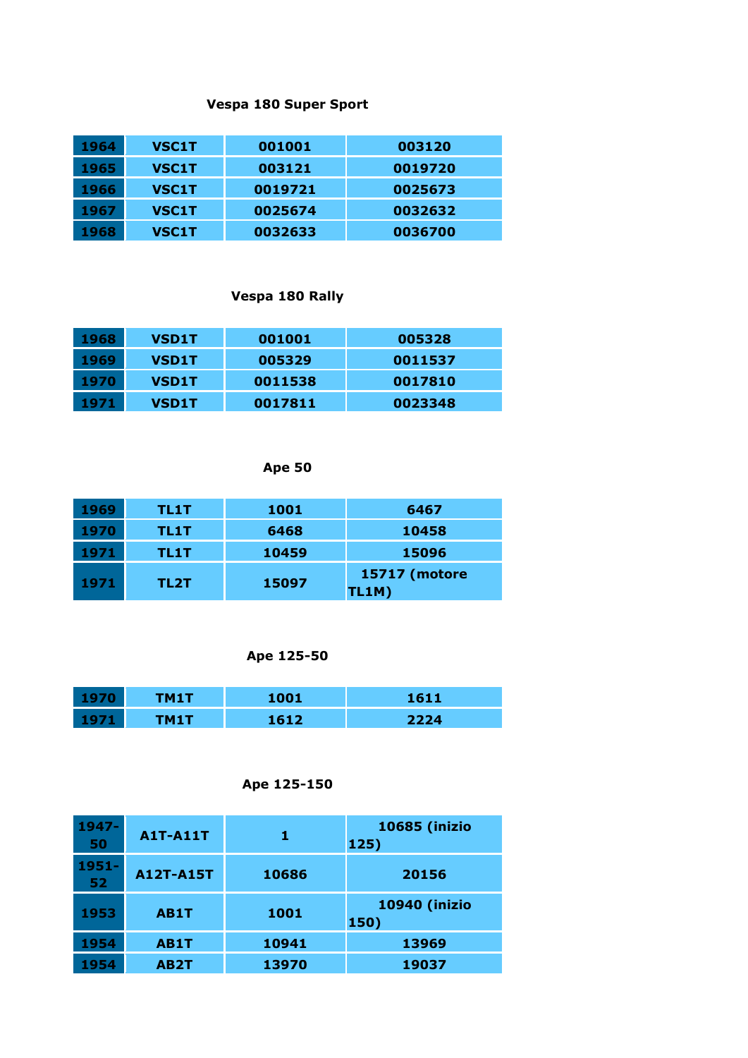#### **Vespa 180 Super Sport**

| 1964 | <b>VSC1T</b> | 001001  | 003120  |
|------|--------------|---------|---------|
| 1965 | <b>VSC1T</b> | 003121  | 0019720 |
| 1966 | <b>VSC1T</b> | 0019721 | 0025673 |
| 1967 | <b>VSC1T</b> | 0025674 | 0032632 |
| 1968 | <b>VSC1T</b> | 0032633 | 0036700 |

### **Vespa 180 Rally**

| 1968 | <b>VSD1T</b> | 001001  | 005328  |
|------|--------------|---------|---------|
| 1969 | <b>VSD1T</b> | 005329  | 0011537 |
| 1970 | <b>VSD1T</b> | 0011538 | 0017810 |
| 1971 | <b>VSD1T</b> | 0017811 | 0023348 |

# **Ape 50**

| 1969 | TL1T | <b>1001</b> | 6467                          |
|------|------|-------------|-------------------------------|
| 1970 | TL1T | 6468        | 10458                         |
| 1971 | TL1T | 10459       | 15096                         |
| 1971 | TL2T | 15097       | <b>15717 (motore</b><br>TL1M) |

# **Ape 125-50**

| TM1T | 1001      | 1611 |
|------|-----------|------|
| ™1 1 | 1612<br>. | つつつム |

### **Ape 125-150**

| $1947 -$<br>50 | <b>A1T-A11T</b>   |       | <b>10685 (inizio</b><br>125)  |
|----------------|-------------------|-------|-------------------------------|
| $1951 -$<br>52 | <b>A12T-A15T</b>  | 10686 | 20156                         |
| 1953           | AB1T              | 1001  | <b>10940 (inizio)</b><br>150) |
| 1954           | AB1T              | 10941 | 13969                         |
| 1954           | AB <sub>2</sub> T | 13970 | 19037                         |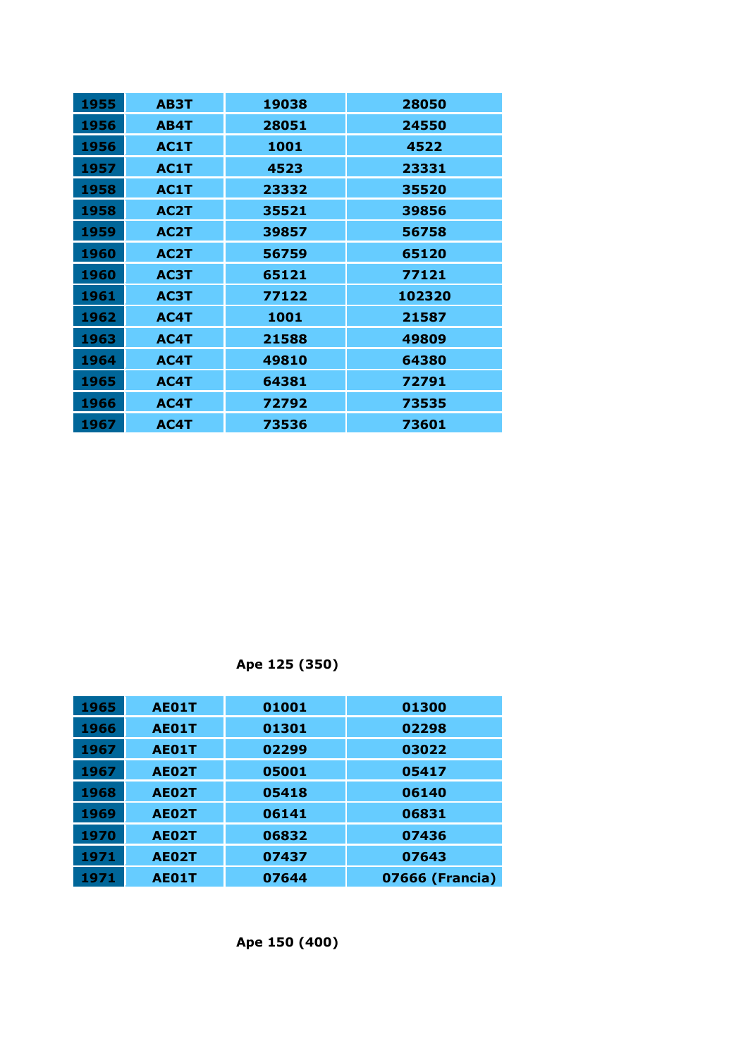| 1955 | AB3T              | 19038 | 28050  |
|------|-------------------|-------|--------|
| 1956 | AB4T              | 28051 | 24550  |
| 1956 | AC1T              | 1001  | 4522   |
| 1957 | AC1T              | 4523  | 23331  |
| 1958 | AC1T              | 23332 | 35520  |
| 1958 | AC <sub>2</sub> T | 35521 | 39856  |
| 1959 | AC2T              | 39857 | 56758  |
| 1960 | AC <sub>2</sub> T | 56759 | 65120  |
| 1960 | AC3T              | 65121 | 77121  |
| 1961 | AC3T              | 77122 | 102320 |
| 1962 | AC4T              | 1001  | 21587  |
| 1963 | AC4T              | 21588 | 49809  |
| 1964 | AC4T              | 49810 | 64380  |
| 1965 | AC4T              | 64381 | 72791  |
| 1966 | AC4T              | 72792 | 73535  |
| 1967 | AC4T              | 73536 | 73601  |

**Ape 125 (350)**

| 1965 | <b>AE01T</b> | 01001 | 01300           |
|------|--------------|-------|-----------------|
| 1966 | <b>AE01T</b> | 01301 | 02298           |
| 1967 | <b>AE01T</b> | 02299 | 03022           |
| 1967 | <b>AE02T</b> | 05001 | 05417           |
| 1968 | <b>AE02T</b> | 05418 | 06140           |
| 1969 | <b>AE02T</b> | 06141 | 06831           |
| 1970 | AE02T        | 06832 | 07436           |
| 1971 | <b>AE02T</b> | 07437 | 07643           |
| 1971 | <b>AE01T</b> | 07644 | 07666 (Francia) |

**Ape 150 (400)**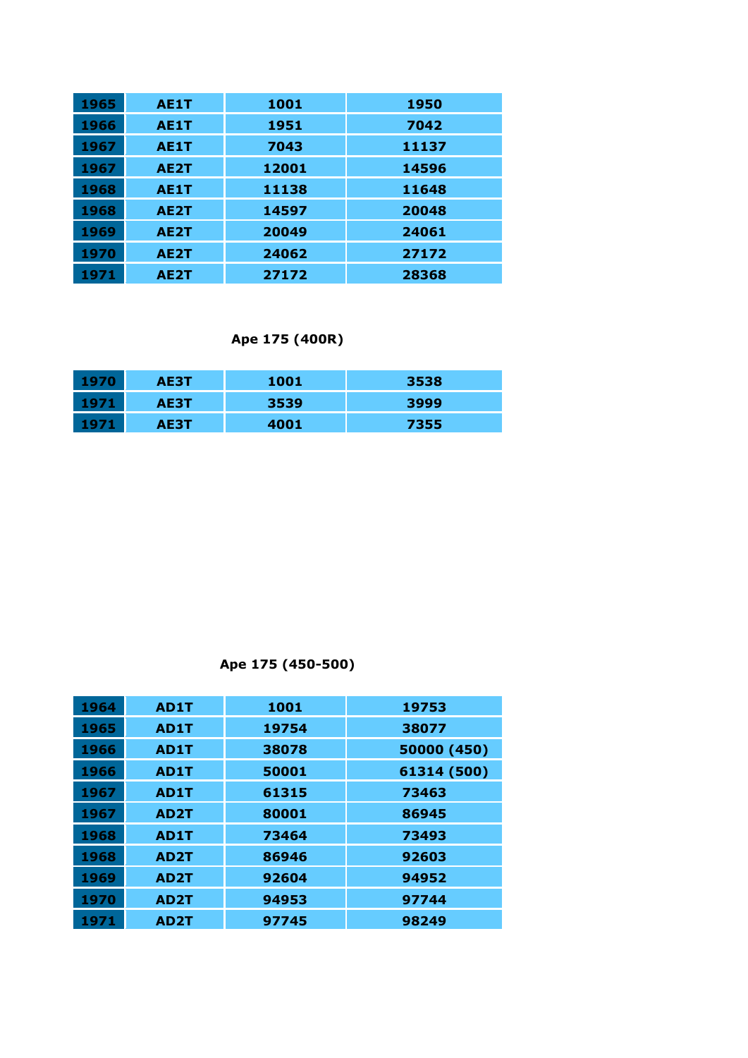| 1965 | AE1T              | 1001  | 1950  |
|------|-------------------|-------|-------|
| 1966 | AE1T              | 1951  | 7042  |
| 1967 | <b>AE1T</b>       | 7043  | 11137 |
| 1967 | AE <sub>2</sub> T | 12001 | 14596 |
| 1968 | AE1T              | 11138 | 11648 |
| 1968 | AE <sub>2</sub> T | 14597 | 20048 |
| 1969 | AE <sub>2</sub> T | 20049 | 24061 |
| 1970 | AE <sub>2</sub> T | 24062 | 27172 |
| 1971 | AE <sub>2</sub> T | 27172 | 28368 |

**Ape 175 (400R)**

| 1970 | AE3T | 1001 | 3538 |
|------|------|------|------|
| 1971 | AE3T | 3539 | 3999 |
| 1971 | AE3T | 4001 | 7355 |

**Ape 175 (450-500)**

| 1964 | AD1T              | 1001  | 19753       |
|------|-------------------|-------|-------------|
| 1965 | AD1T              | 19754 | 38077       |
| 1966 | AD1T              | 38078 | 50000 (450) |
| 1966 | AD1T              | 50001 | 61314 (500) |
| 1967 | AD1T              | 61315 | 73463       |
| 1967 | AD <sub>2</sub> T | 80001 | 86945       |
| 1968 | AD1T              | 73464 | 73493       |
| 1968 | AD <sub>2</sub> T | 86946 | 92603       |
| 1969 | AD <sub>2</sub> T | 92604 | 94952       |
| 1970 | AD <sub>2</sub> T | 94953 | 97744       |
| 1971 | AD <sub>2</sub> T | 97745 | 98249       |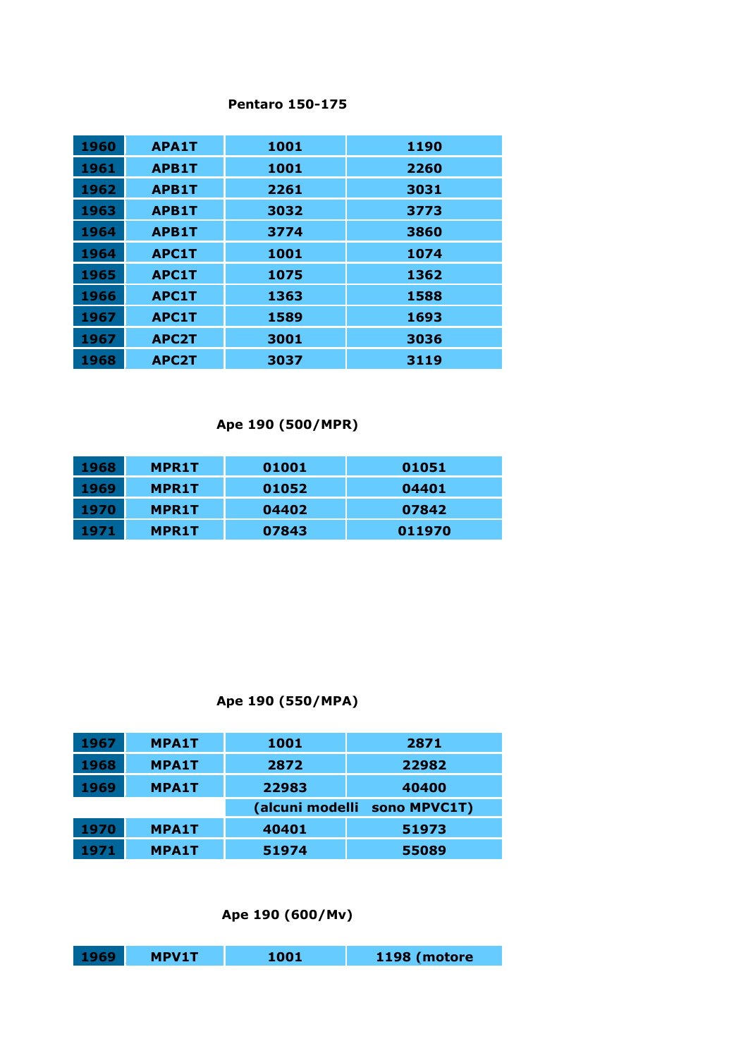#### **Pentaro 150-175**

| 1960 | <b>APA1T</b> | 1001 | 1190 |
|------|--------------|------|------|
| 1961 | <b>APB1T</b> | 1001 | 2260 |
| 1962 | <b>APB1T</b> | 2261 | 3031 |
| 1963 | <b>APB1T</b> | 3032 | 3773 |
| 1964 | <b>APB1T</b> | 3774 | 3860 |
| 1964 | <b>APC1T</b> | 1001 | 1074 |
| 1965 | <b>APC1T</b> | 1075 | 1362 |
| 1966 | <b>APC1T</b> | 1363 | 1588 |
| 1967 | <b>APC1T</b> | 1589 | 1693 |
| 1967 | <b>APC2T</b> | 3001 | 3036 |
| 1968 | <b>APC2T</b> | 3037 | 3119 |

# **Ape 190 (500/MPR)**

| 1968 | <b>MPR1T</b> | 01001 | 01051  |
|------|--------------|-------|--------|
| 1969 | <b>MPR1T</b> | 01052 | 04401  |
| 1970 | <b>MPR1T</b> | 04402 | 07842  |
| 1971 | <b>MPR1T</b> | 07843 | 011970 |

# **Ape 190 (550/MPA)**

| 1967 | <b>MPA1T</b> | 1001            | 2871         |
|------|--------------|-----------------|--------------|
| 1968 | <b>MPA1T</b> | 2872            | 22982        |
| 1969 | <b>MPA1T</b> | 22983           | 40400        |
|      |              |                 |              |
|      |              | (alcuni modelli | sono MPVC1T) |
| 1970 | <b>MPA1T</b> | 40401           | 51973        |

### **Ape 190 (600/Mv)**

| $1969^{\circ}$ | <b>MPV1T</b> | 1001 | 1198 (motore |
|----------------|--------------|------|--------------|
|                |              |      |              |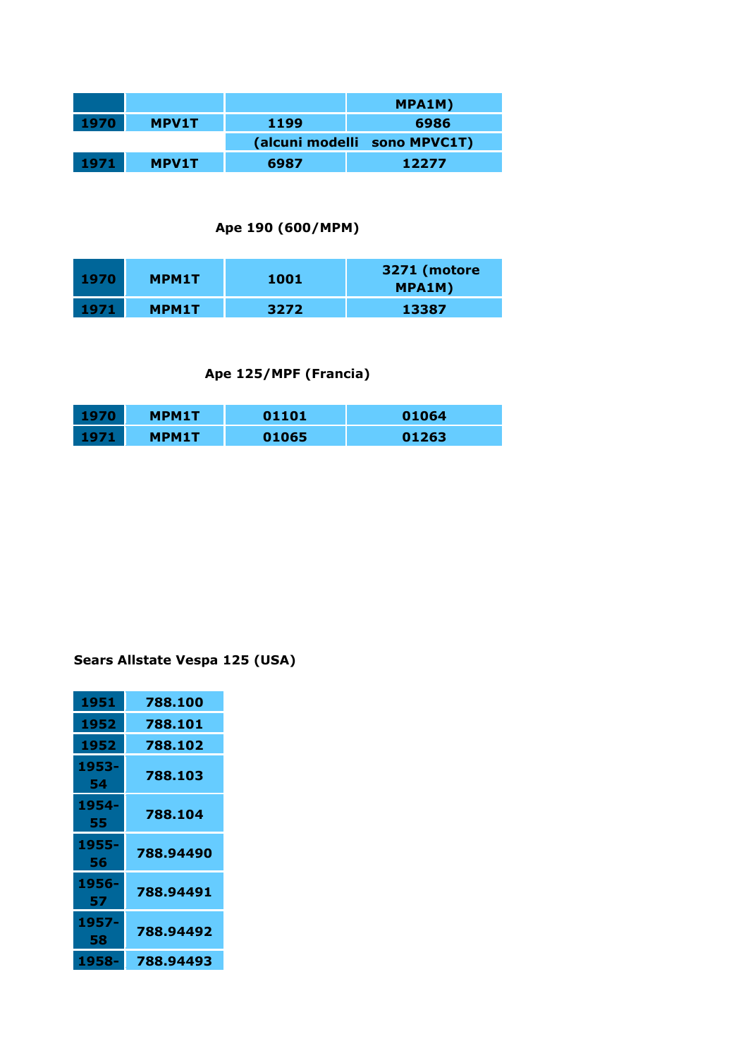|      |              |      | MPA1M)                       |
|------|--------------|------|------------------------------|
| 1970 | <b>MPV1T</b> | 1199 | 6986                         |
|      |              |      | (alcuni modelli sono MPVC1T) |
| 1971 | <b>MPV1T</b> | 6987 | 12277                        |

### **Ape 190 (600/MPM)**

| 1970 | <b>MPM1T</b> | 1001 | 3271 (motore<br>MPA1M) |
|------|--------------|------|------------------------|
| 1971 | <b>MPM1T</b> | 3272 | 13387                  |

# **Ape 125/MPF (Francia)**

| <b>MPM1T</b> | 01101 | 01064 |
|--------------|-------|-------|
| MPM1T        | 01065 | 01263 |

# **Sears Allstate Vespa 125 (USA)**

| 1951        | 788.100   |
|-------------|-----------|
| 1952        | 788.101   |
| 1952        | 788.102   |
| 1953-<br>54 | 788.103   |
| 1954-<br>55 | 788.104   |
| 1955-<br>56 | 788.94490 |
| 1956-<br>57 | 788.94491 |
| 1957-<br>58 | 788.94492 |
| 1958-       | 788.94493 |